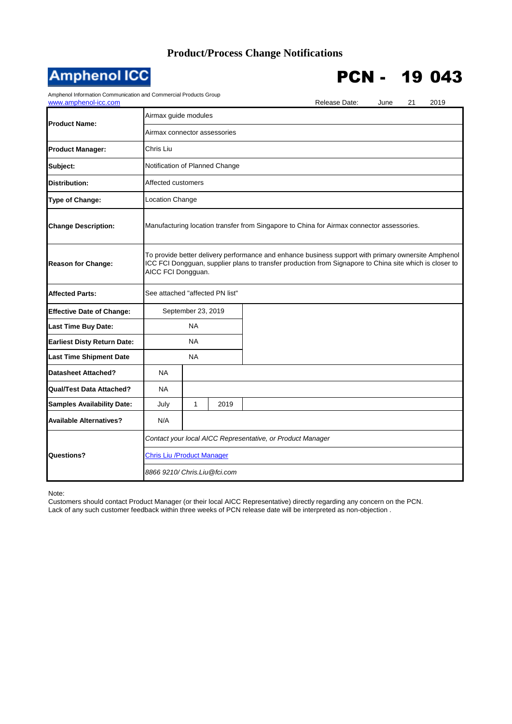## **Product/Process Change Notifications**



## PCN - 19 043

Amphenol Information Communication and Commercial Products Group

| Amphenor information Communication and Commercial Froducts Group<br>www.amphenol-icc.com |                                                                                                                                                                                                                                      |              |      |  | Release Date: | June | 21 | 2019 |  |
|------------------------------------------------------------------------------------------|--------------------------------------------------------------------------------------------------------------------------------------------------------------------------------------------------------------------------------------|--------------|------|--|---------------|------|----|------|--|
| <b>Product Name:</b>                                                                     | Airmax guide modules                                                                                                                                                                                                                 |              |      |  |               |      |    |      |  |
|                                                                                          | Airmax connector assessories                                                                                                                                                                                                         |              |      |  |               |      |    |      |  |
| <b>Product Manager:</b>                                                                  | Chris Liu                                                                                                                                                                                                                            |              |      |  |               |      |    |      |  |
| Subject:                                                                                 | Notification of Planned Change                                                                                                                                                                                                       |              |      |  |               |      |    |      |  |
| <b>Distribution:</b>                                                                     | Affected customers                                                                                                                                                                                                                   |              |      |  |               |      |    |      |  |
| Type of Change:                                                                          | <b>Location Change</b>                                                                                                                                                                                                               |              |      |  |               |      |    |      |  |
| <b>Change Description:</b>                                                               | Manufacturing location transfer from Singapore to China for Airmax connector assessories.                                                                                                                                            |              |      |  |               |      |    |      |  |
| <b>Reason for Change:</b>                                                                | To provide better delivery performance and enhance business support with primary ownersite Amphenol<br>ICC FCI Dongguan, supplier plans to transfer production from Signapore to China site which is closer to<br>AICC FCI Dongguan. |              |      |  |               |      |    |      |  |
| <b>Affected Parts:</b>                                                                   | See attached "affected PN list"                                                                                                                                                                                                      |              |      |  |               |      |    |      |  |
| <b>Effective Date of Change:</b>                                                         | September 23, 2019                                                                                                                                                                                                                   |              |      |  |               |      |    |      |  |
| <b>Last Time Buy Date:</b>                                                               | <b>NA</b>                                                                                                                                                                                                                            |              |      |  |               |      |    |      |  |
| <b>Earliest Disty Return Date:</b>                                                       | <b>NA</b>                                                                                                                                                                                                                            |              |      |  |               |      |    |      |  |
| <b>Last Time Shipment Date</b>                                                           | <b>NA</b>                                                                                                                                                                                                                            |              |      |  |               |      |    |      |  |
| <b>Datasheet Attached?</b>                                                               | <b>NA</b>                                                                                                                                                                                                                            |              |      |  |               |      |    |      |  |
| <b>Qual/Test Data Attached?</b>                                                          | <b>NA</b>                                                                                                                                                                                                                            |              |      |  |               |      |    |      |  |
| <b>Samples Availability Date:</b>                                                        | July                                                                                                                                                                                                                                 | $\mathbf{1}$ | 2019 |  |               |      |    |      |  |
| <b>Available Alternatives?</b>                                                           | N/A                                                                                                                                                                                                                                  |              |      |  |               |      |    |      |  |
| Questions?                                                                               | Contact your local AICC Representative, or Product Manager                                                                                                                                                                           |              |      |  |               |      |    |      |  |
|                                                                                          | <b>Chris Liu / Product Manager</b>                                                                                                                                                                                                   |              |      |  |               |      |    |      |  |
|                                                                                          | 8866 9210/ Chris.Liu@fci.com                                                                                                                                                                                                         |              |      |  |               |      |    |      |  |

Note:

Customers should contact Product Manager (or their local AICC Representative) directly regarding any concern on the PCN. Lack of any such customer feedback within three weeks of PCN release date will be interpreted as non-objection .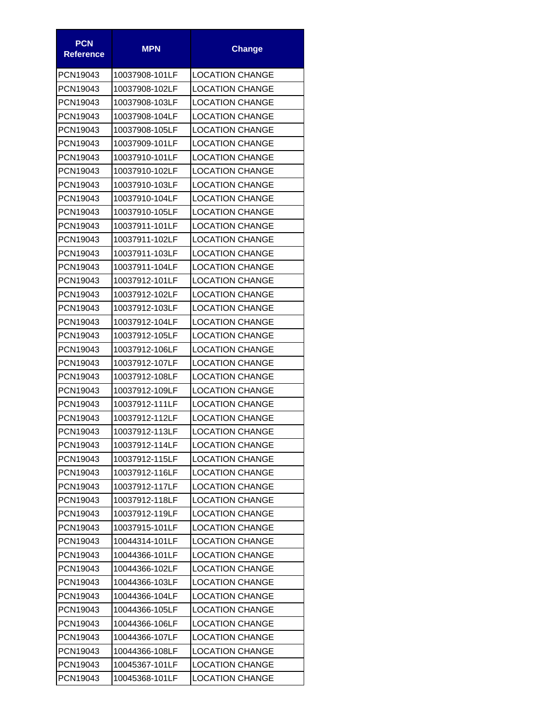| <b>PCN</b><br><b>Reference</b> | <b>MPN</b>     | <b>Change</b>          |  |  |
|--------------------------------|----------------|------------------------|--|--|
| PCN19043                       | 10037908-101LF | <b>LOCATION CHANGE</b> |  |  |
| PCN19043                       | 10037908-102LF | <b>LOCATION CHANGE</b> |  |  |
| PCN19043                       | 10037908-103LF | <b>LOCATION CHANGE</b> |  |  |
| PCN19043                       | 10037908-104LF | <b>LOCATION CHANGE</b> |  |  |
| PCN19043                       | 10037908-105LF | <b>LOCATION CHANGE</b> |  |  |
| PCN19043                       | 10037909-101LF | <b>LOCATION CHANGE</b> |  |  |
| PCN19043                       | 10037910-101LF | <b>LOCATION CHANGE</b> |  |  |
| PCN19043                       | 10037910-102LF | <b>LOCATION CHANGE</b> |  |  |
| PCN19043                       | 10037910-103LF | <b>LOCATION CHANGE</b> |  |  |
| PCN19043                       | 10037910-104LF | <b>LOCATION CHANGE</b> |  |  |
| PCN19043                       | 10037910-105LF | <b>LOCATION CHANGE</b> |  |  |
| PCN19043                       | 10037911-101LF | <b>LOCATION CHANGE</b> |  |  |
| PCN19043                       | 10037911-102LF | <b>LOCATION CHANGE</b> |  |  |
| PCN19043                       | 10037911-103LF | <b>LOCATION CHANGE</b> |  |  |
| PCN19043                       | 10037911-104LF | <b>LOCATION CHANGE</b> |  |  |
| PCN19043                       | 10037912-101LF | <b>LOCATION CHANGE</b> |  |  |
| PCN19043                       | 10037912-102LF | <b>LOCATION CHANGE</b> |  |  |
| PCN19043                       | 10037912-103LF | <b>LOCATION CHANGE</b> |  |  |
| PCN19043                       | 10037912-104LF | <b>LOCATION CHANGE</b> |  |  |
| PCN19043                       | 10037912-105LF | <b>LOCATION CHANGE</b> |  |  |
| PCN19043                       | 10037912-106LF | <b>LOCATION CHANGE</b> |  |  |
| PCN19043                       | 10037912-107LF | <b>LOCATION CHANGE</b> |  |  |
| PCN19043                       | 10037912-108LF | <b>LOCATION CHANGE</b> |  |  |
| PCN19043                       | 10037912-109LF | <b>LOCATION CHANGE</b> |  |  |
| PCN19043                       | 10037912-111LF | <b>LOCATION CHANGE</b> |  |  |
| PCN19043                       | 10037912-112LF | <b>LOCATION CHANGE</b> |  |  |
| PCN19043                       | 10037912-113LF | <b>LOCATION CHANGE</b> |  |  |
| PCN19043                       | 10037912-114LF | <b>LOCATION CHANGE</b> |  |  |
| PCN19043                       | 10037912-115LF | <b>LOCATION CHANGE</b> |  |  |
| PCN19043                       | 10037912-116LF | <b>LOCATION CHANGE</b> |  |  |
| PCN19043                       | 10037912-117LF | <b>LOCATION CHANGE</b> |  |  |
| PCN19043                       | 10037912-118LF | <b>LOCATION CHANGE</b> |  |  |
| PCN19043                       | 10037912-119LF | <b>LOCATION CHANGE</b> |  |  |
| PCN19043                       | 10037915-101LF | <b>LOCATION CHANGE</b> |  |  |
| PCN19043                       | 10044314-101LF | <b>LOCATION CHANGE</b> |  |  |
| PCN19043                       | 10044366-101LF | <b>LOCATION CHANGE</b> |  |  |
| PCN19043                       | 10044366-102LF | <b>LOCATION CHANGE</b> |  |  |
| PCN19043                       | 10044366-103LF | <b>LOCATION CHANGE</b> |  |  |
| PCN19043                       | 10044366-104LF | <b>LOCATION CHANGE</b> |  |  |
| PCN19043                       | 10044366-105LF | <b>LOCATION CHANGE</b> |  |  |
| PCN19043                       | 10044366-106LF | <b>LOCATION CHANGE</b> |  |  |
| PCN19043                       | 10044366-107LF | <b>LOCATION CHANGE</b> |  |  |
| PCN19043                       | 10044366-108LF | <b>LOCATION CHANGE</b> |  |  |
| PCN19043                       | 10045367-101LF | <b>LOCATION CHANGE</b> |  |  |
| PCN19043                       | 10045368-101LF | <b>LOCATION CHANGE</b> |  |  |